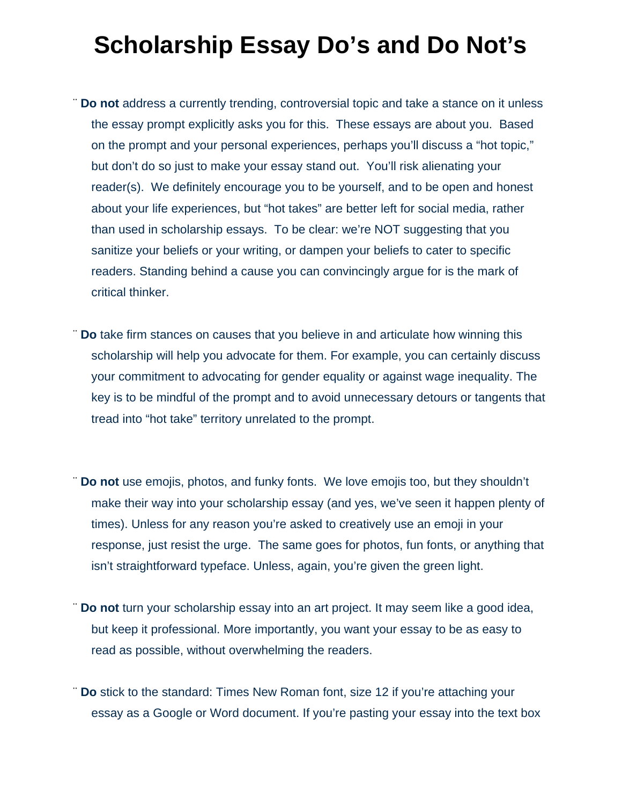## **Scholarship Essay Do's and Do Not's**

- ¨ **Do not** address a currently trending, controversial topic and take a stance on it unless the essay prompt explicitly asks you for this. These essays are about you. Based on the prompt and your personal experiences, perhaps you'll discuss a "hot topic," but don't do so just to make your essay stand out. You'll risk alienating your reader(s). We definitely encourage you to be yourself, and to be open and honest about your life experiences, but "hot takes" are better left for social media, rather than used in scholarship essays. To be clear: we're NOT suggesting that you sanitize your beliefs or your writing, or dampen your beliefs to cater to specific readers. Standing behind a cause you can convincingly argue for is the mark of critical thinker.
- ¨ **Do** take firm stances on causes that you believe in and articulate how winning this scholarship will help you advocate for them. For example, you can certainly discuss your commitment to advocating for gender equality or against wage inequality. The key is to be mindful of the prompt and to avoid unnecessary detours or tangents that tread into "hot take" territory unrelated to the prompt.
- ¨ **Do not** use emojis, photos, and funky fonts. We love emojis too, but they shouldn't make their way into your scholarship essay (and yes, we've seen it happen plenty of times). Unless for any reason you're asked to creatively use an emoji in your response, just resist the urge. The same goes for photos, fun fonts, or anything that isn't straightforward typeface. Unless, again, you're given the green light.
- ¨ **Do not** turn your scholarship essay into an art project. It may seem like a good idea, but keep it professional. More importantly, you want your essay to be as easy to read as possible, without overwhelming the readers.
- ¨ **Do** stick to the standard: Times New Roman font, size 12 if you're attaching your essay as a Google or Word document. If you're pasting your essay into the text box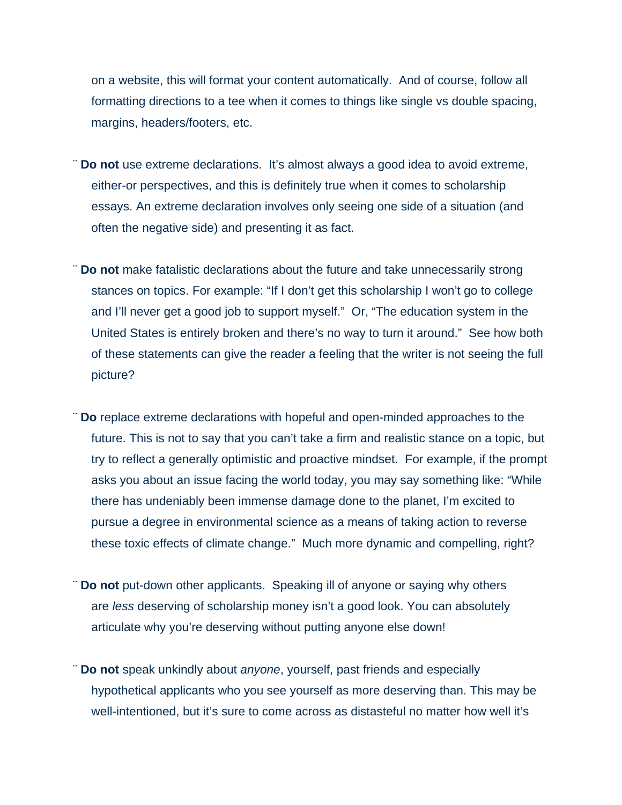on a website, this will format your content automatically. And of course, follow all formatting directions to a tee when it comes to things like single vs double spacing, margins, headers/footers, etc.

- ¨ **Do not** use extreme declarations. It's almost always a good idea to avoid extreme, either-or perspectives, and this is definitely true when it comes to scholarship essays. An extreme declaration involves only seeing one side of a situation (and often the negative side) and presenting it as fact.
- ¨ **Do not** make fatalistic declarations about the future and take unnecessarily strong stances on topics. For example: "If I don't get this scholarship I won't go to college and I'll never get a good job to support myself." Or, "The education system in the United States is entirely broken and there's no way to turn it around." See how both of these statements can give the reader a feeling that the writer is not seeing the full picture?
- ¨ **Do** replace extreme declarations with hopeful and open-minded approaches to the future. This is not to say that you can't take a firm and realistic stance on a topic, but try to reflect a generally optimistic and proactive mindset. For example, if the prompt asks you about an issue facing the world today, you may say something like: "While there has undeniably been immense damage done to the planet, I'm excited to pursue a degree in environmental science as a means of taking action to reverse these toxic effects of climate change." Much more dynamic and compelling, right?
- ¨ **Do not** put-down other applicants. Speaking ill of anyone or saying why others are *less* deserving of scholarship money isn't a good look. You can absolutely articulate why you're deserving without putting anyone else down!
- ¨ **Do not** speak unkindly about *anyone*, yourself, past friends and especially hypothetical applicants who you see yourself as more deserving than. This may be well-intentioned, but it's sure to come across as distasteful no matter how well it's